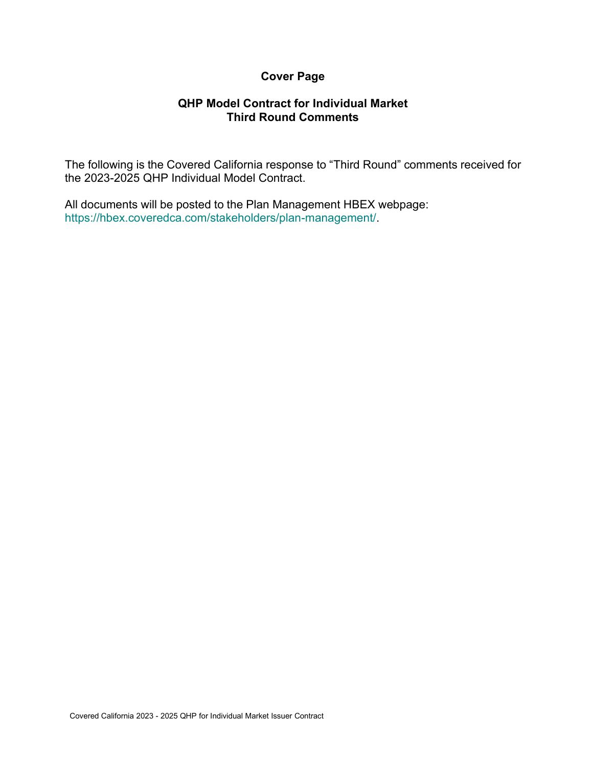# **Cover Page**

#### **QHP Model Contract for Individual Market Third Round Comments**

The following is the Covered California response to "Third Round" comments received for the 2023-2025 QHP Individual Model Contract.

All documents will be posted to the Plan Management HBEX webpage: https://hbex.coveredca.com/stakeholders/plan-management/.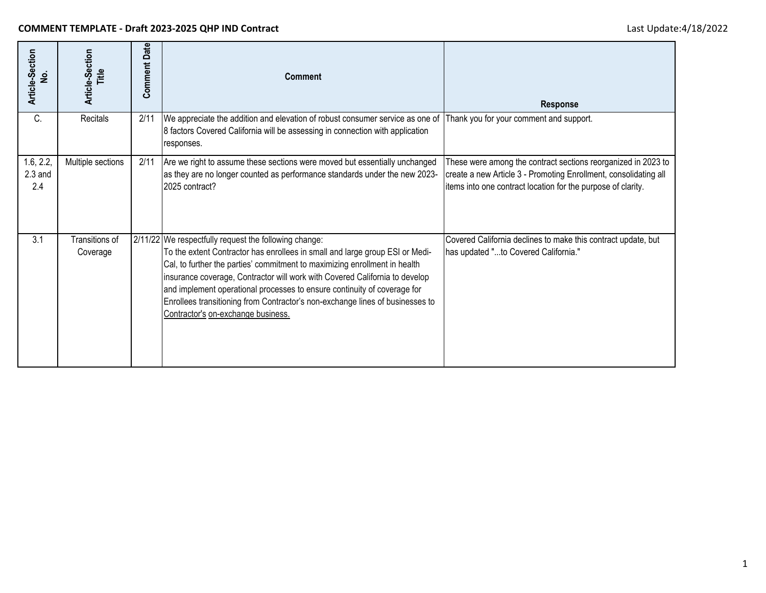| Article-Section<br>ş          | Article-Section<br>Title   | <b>Comment Date</b> | <b>Comment</b>                                                                                                                                                                                                                                                                                                                                                                                                                                                                                        | <b>Response</b>                                                                                                                                                                                   |
|-------------------------------|----------------------------|---------------------|-------------------------------------------------------------------------------------------------------------------------------------------------------------------------------------------------------------------------------------------------------------------------------------------------------------------------------------------------------------------------------------------------------------------------------------------------------------------------------------------------------|---------------------------------------------------------------------------------------------------------------------------------------------------------------------------------------------------|
| C.                            | Recitals                   | 2/11                | We appreciate the addition and elevation of robust consumer service as one of<br>8 factors Covered California will be assessing in connection with application<br>responses.                                                                                                                                                                                                                                                                                                                          | Thank you for your comment and support.                                                                                                                                                           |
| 1.6, 2.2,<br>$2.3$ and<br>2.4 | Multiple sections          | 2/11                | Are we right to assume these sections were moved but essentially unchanged<br>as they are no longer counted as performance standards under the new 2023-<br>2025 contract?                                                                                                                                                                                                                                                                                                                            | These were among the contract sections reorganized in 2023 to<br>create a new Article 3 - Promoting Enrollment, consolidating all<br>items into one contract location for the purpose of clarity. |
| 3.1                           | Transitions of<br>Coverage |                     | 2/11/22 We respectfully request the following change:<br>To the extent Contractor has enrollees in small and large group ESI or Medi-<br>Cal, to further the parties' commitment to maximizing enrollment in health<br>insurance coverage, Contractor will work with Covered California to develop<br>and implement operational processes to ensure continuity of coverage for<br>Enrollees transitioning from Contractor's non-exchange lines of businesses to<br>Contractor's on-exchange business. | Covered California declines to make this contract update, but<br>has updated "to Covered California."                                                                                             |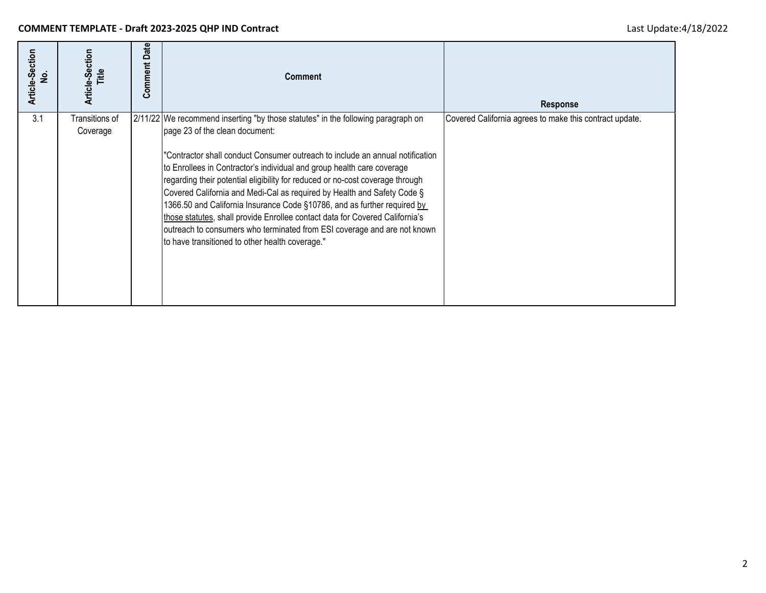| Article-Section<br>غ<br>2 | Article-Section<br>Title   | Date<br>Comment | <b>Comment</b>                                                                                                                                                                                                                                                                                                                                                                                                                                                                                                                                                                                                                                                                                                                       | <b>Response</b>                                         |
|---------------------------|----------------------------|-----------------|--------------------------------------------------------------------------------------------------------------------------------------------------------------------------------------------------------------------------------------------------------------------------------------------------------------------------------------------------------------------------------------------------------------------------------------------------------------------------------------------------------------------------------------------------------------------------------------------------------------------------------------------------------------------------------------------------------------------------------------|---------------------------------------------------------|
| 3.1                       | Transitions of<br>Coverage |                 | 2/11/22 We recommend inserting "by those statutes" in the following paragraph on<br>page 23 of the clean document:<br>'Contractor shall conduct Consumer outreach to include an annual notification<br>to Enrollees in Contractor's individual and group health care coverage<br>regarding their potential eligibility for reduced or no-cost coverage through<br>Covered California and Medi-Cal as required by Health and Safety Code §<br>1366.50 and California Insurance Code §10786, and as further required by<br>those statutes, shall provide Enrollee contact data for Covered California's<br>outreach to consumers who terminated from ESI coverage and are not known<br>to have transitioned to other health coverage." | Covered California agrees to make this contract update. |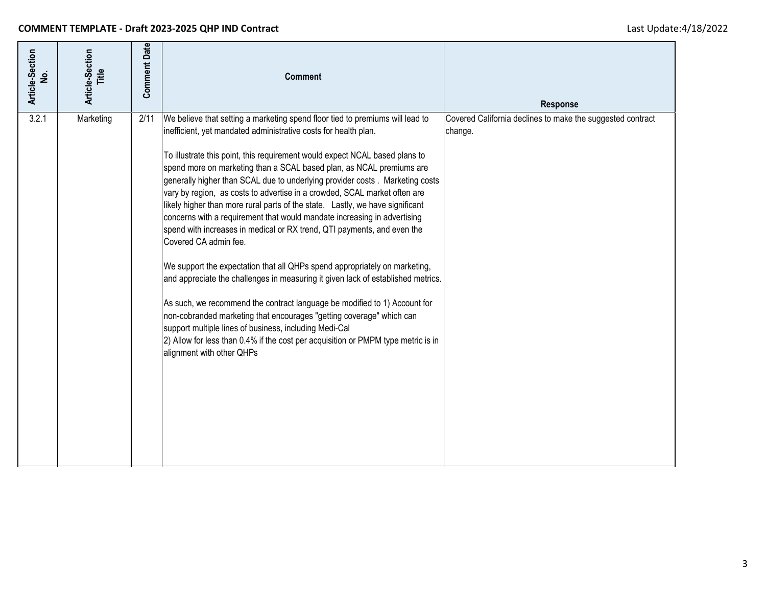| Article-Section<br><u>ي</u> | Article-Section<br>Title | <b>Comment Date</b> | <b>Comment</b>                                                                                                                                                                                                                                                                                                                                                                                                                                                                                                                                                                                                                                                                                                                                                                                                                                                                                                                                                                                                                                                                                                                                                                                                                           | Response                                                              |
|-----------------------------|--------------------------|---------------------|------------------------------------------------------------------------------------------------------------------------------------------------------------------------------------------------------------------------------------------------------------------------------------------------------------------------------------------------------------------------------------------------------------------------------------------------------------------------------------------------------------------------------------------------------------------------------------------------------------------------------------------------------------------------------------------------------------------------------------------------------------------------------------------------------------------------------------------------------------------------------------------------------------------------------------------------------------------------------------------------------------------------------------------------------------------------------------------------------------------------------------------------------------------------------------------------------------------------------------------|-----------------------------------------------------------------------|
| 3.2.1                       | Marketing                | 2/11                | We believe that setting a marketing spend floor tied to premiums will lead to<br>inefficient, yet mandated administrative costs for health plan.<br>To illustrate this point, this requirement would expect NCAL based plans to<br>spend more on marketing than a SCAL based plan, as NCAL premiums are<br>generally higher than SCAL due to underlying provider costs. Marketing costs<br>vary by region, as costs to advertise in a crowded, SCAL market often are<br>likely higher than more rural parts of the state. Lastly, we have significant<br>concerns with a requirement that would mandate increasing in advertising<br>spend with increases in medical or RX trend, QTI payments, and even the<br>Covered CA admin fee.<br>We support the expectation that all QHPs spend appropriately on marketing,<br>and appreciate the challenges in measuring it given lack of established metrics.<br>As such, we recommend the contract language be modified to 1) Account for<br>non-cobranded marketing that encourages "getting coverage" which can<br>support multiple lines of business, including Medi-Cal<br>2) Allow for less than 0.4% if the cost per acquisition or PMPM type metric is in<br>alignment with other QHPs | Covered California declines to make the suggested contract<br>change. |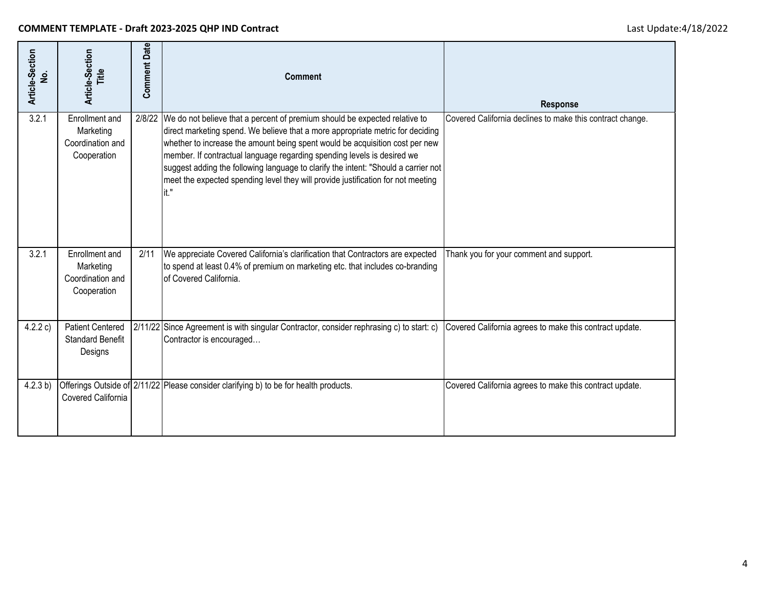| Article-Section<br>ş | Article-Section<br>Title                                       | <b>Comment Date</b> | <b>Comment</b>                                                                                                                                                                                                                                                                                                                                                                                                                                                                                                    | Response                                                  |
|----------------------|----------------------------------------------------------------|---------------------|-------------------------------------------------------------------------------------------------------------------------------------------------------------------------------------------------------------------------------------------------------------------------------------------------------------------------------------------------------------------------------------------------------------------------------------------------------------------------------------------------------------------|-----------------------------------------------------------|
| 3.2.1                | Enrollment and<br>Marketing<br>Coordination and<br>Cooperation |                     | 2/8/22 We do not believe that a percent of premium should be expected relative to<br>direct marketing spend. We believe that a more appropriate metric for deciding<br>whether to increase the amount being spent would be acquisition cost per new<br>member. If contractual language regarding spending levels is desired we<br>suggest adding the following language to clarify the intent: "Should a carrier not<br>meet the expected spending level they will provide justification for not meeting<br>lit." | Covered California declines to make this contract change. |
| 3.2.1                | Enrollment and<br>Marketing<br>Coordination and<br>Cooperation | 2/11                | We appreciate Covered California's clarification that Contractors are expected<br>to spend at least 0.4% of premium on marketing etc. that includes co-branding<br>of Covered California.                                                                                                                                                                                                                                                                                                                         | Thank you for your comment and support.                   |
| 4.2.2 c)             | <b>Patient Centered</b><br><b>Standard Benefit</b><br>Designs  |                     | 2/11/22 Since Agreement is with singular Contractor, consider rephrasing c) to start: c)<br>Contractor is encouraged                                                                                                                                                                                                                                                                                                                                                                                              | Covered California agrees to make this contract update.   |
| 4.2.3 b)             | Covered California                                             |                     | Offerings Outside of 2/11/22 Please consider clarifying b) to be for health products.                                                                                                                                                                                                                                                                                                                                                                                                                             | Covered California agrees to make this contract update.   |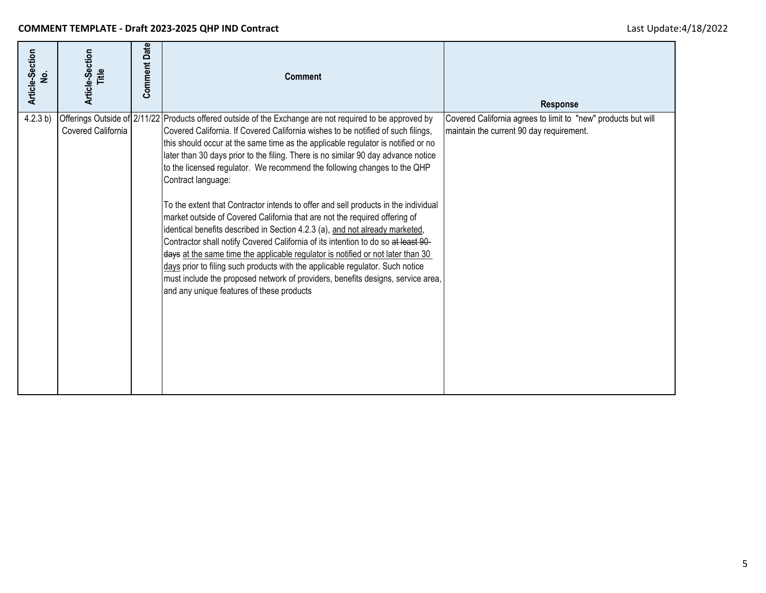| Article-Section<br>غ<br>ا | Article-Section<br>Title | <b>Comment Date</b> | <b>Comment</b>                                                                                                                                                                                                                                                                                                                                                                                                                                                                                                                                                                                                                                                                                                                                                                                                                                                                                                                                                                                                                                                                                                       | <b>Response</b>                                                                                           |
|---------------------------|--------------------------|---------------------|----------------------------------------------------------------------------------------------------------------------------------------------------------------------------------------------------------------------------------------------------------------------------------------------------------------------------------------------------------------------------------------------------------------------------------------------------------------------------------------------------------------------------------------------------------------------------------------------------------------------------------------------------------------------------------------------------------------------------------------------------------------------------------------------------------------------------------------------------------------------------------------------------------------------------------------------------------------------------------------------------------------------------------------------------------------------------------------------------------------------|-----------------------------------------------------------------------------------------------------------|
| 4.2.3 b)                  | Covered California       |                     | Offerings Outside of 2/11/22 Products offered outside of the Exchange are not required to be approved by<br>Covered California. If Covered California wishes to be notified of such filings,<br>this should occur at the same time as the applicable regulator is notified or no<br>later than 30 days prior to the filing. There is no similar 90 day advance notice<br>to the licensed regulator. We recommend the following changes to the QHP<br>Contract language:<br>To the extent that Contractor intends to offer and sell products in the individual<br>market outside of Covered California that are not the required offering of<br>identical benefits described in Section 4.2.3 (a), and not already marketed,<br>Contractor shall notify Covered California of its intention to do so at least 90-<br>days at the same time the applicable regulator is notified or not later than 30<br>days prior to filing such products with the applicable regulator. Such notice<br>must include the proposed network of providers, benefits designs, service area,<br>and any unique features of these products | Covered California agrees to limit to "new" products but will<br>maintain the current 90 day requirement. |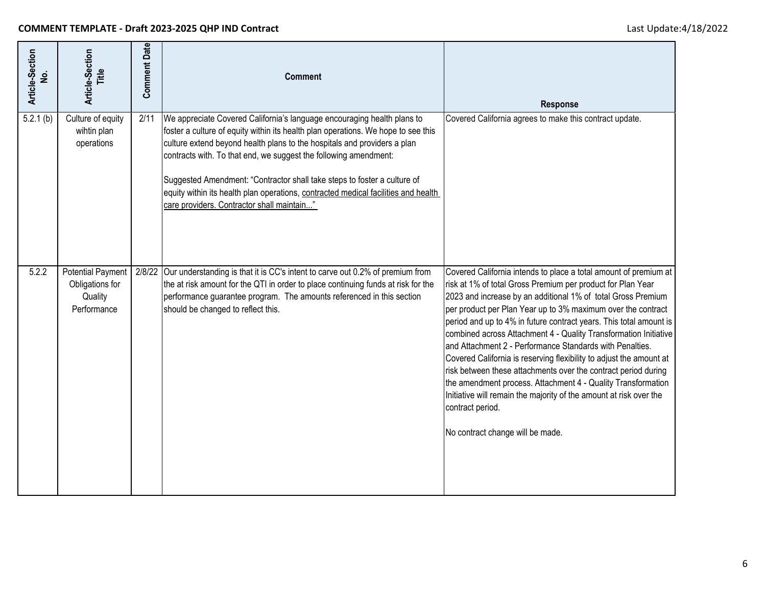| Article-Section<br>ş | Article-Section<br>Title                                              | <b>Comment Date</b> | <b>Comment</b>                                                                                                                                                                                                                                                                                                                                                                                                                                                                                                               | <b>Response</b>                                                                                                                                                                                                                                                                                                                                                                                                                                                                                                                                                                                                                                                                                                                                                                                              |
|----------------------|-----------------------------------------------------------------------|---------------------|------------------------------------------------------------------------------------------------------------------------------------------------------------------------------------------------------------------------------------------------------------------------------------------------------------------------------------------------------------------------------------------------------------------------------------------------------------------------------------------------------------------------------|--------------------------------------------------------------------------------------------------------------------------------------------------------------------------------------------------------------------------------------------------------------------------------------------------------------------------------------------------------------------------------------------------------------------------------------------------------------------------------------------------------------------------------------------------------------------------------------------------------------------------------------------------------------------------------------------------------------------------------------------------------------------------------------------------------------|
| 5.2.1(b)             | Culture of equity<br>wihtin plan<br>operations                        | 2/11                | We appreciate Covered California's language encouraging health plans to<br>foster a culture of equity within its health plan operations. We hope to see this<br>culture extend beyond health plans to the hospitals and providers a plan<br>contracts with. To that end, we suggest the following amendment:<br>Suggested Amendment: "Contractor shall take steps to foster a culture of<br>equity within its health plan operations, contracted medical facilities and health<br>care providers. Contractor shall maintain" | Covered California agrees to make this contract update.                                                                                                                                                                                                                                                                                                                                                                                                                                                                                                                                                                                                                                                                                                                                                      |
| 5.2.2                | <b>Potential Payment</b><br>Obligations for<br>Quality<br>Performance | 2/8/22              | Our understanding is that it is CC's intent to carve out 0.2% of premium from<br>the at risk amount for the QTI in order to place continuing funds at risk for the<br>performance guarantee program. The amounts referenced in this section<br>should be changed to reflect this.                                                                                                                                                                                                                                            | Covered California intends to place a total amount of premium at<br>risk at 1% of total Gross Premium per product for Plan Year<br>2023 and increase by an additional 1% of total Gross Premium<br>per product per Plan Year up to 3% maximum over the contract<br>period and up to 4% in future contract years. This total amount is<br>combined across Attachment 4 - Quality Transformation Initiative<br>and Attachment 2 - Performance Standards with Penalties.<br>Covered California is reserving flexibility to adjust the amount at<br>risk between these attachments over the contract period during<br>the amendment process. Attachment 4 - Quality Transformation<br>Initiative will remain the majority of the amount at risk over the<br>contract period.<br>No contract change will be made. |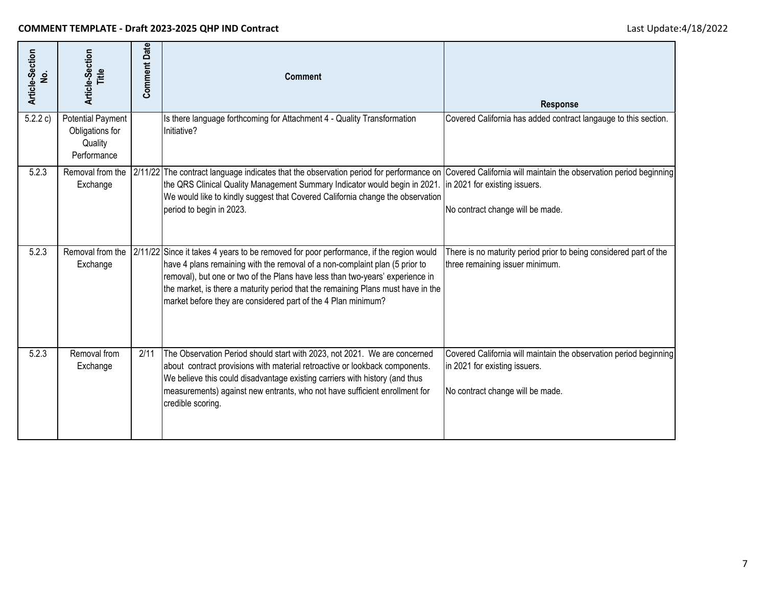| Article-Section<br>غ<br>ا | Article-Section<br>Title                                              | <b>Comment Date</b> | <b>Comment</b>                                                                                                                                                                                                                                                                                                                                                                                              | <b>Response</b>                                                                                                                        |
|---------------------------|-----------------------------------------------------------------------|---------------------|-------------------------------------------------------------------------------------------------------------------------------------------------------------------------------------------------------------------------------------------------------------------------------------------------------------------------------------------------------------------------------------------------------------|----------------------------------------------------------------------------------------------------------------------------------------|
| 5.2.2 c)                  | <b>Potential Payment</b><br>Obligations for<br>Quality<br>Performance |                     | Is there language forthcoming for Attachment 4 - Quality Transformation<br>Initiative?                                                                                                                                                                                                                                                                                                                      | Covered California has added contract langauge to this section.                                                                        |
| 5.2.3                     | Removal from the<br>Exchange                                          |                     | 2/11/22 The contract language indicates that the observation period for performance on Covered California will maintain the observation period beginning<br>the QRS Clinical Quality Management Summary Indicator would begin in 2021.<br>We would like to kindly suggest that Covered California change the observation<br>period to begin in 2023.                                                        | in 2021 for existing issuers.<br>No contract change will be made.                                                                      |
| 5.2.3                     | Removal from the<br>Exchange                                          |                     | 2/11/22 Since it takes 4 years to be removed for poor performance, if the region would<br>have 4 plans remaining with the removal of a non-complaint plan (5 prior to<br>removal), but one or two of the Plans have less than two-years' experience in<br>the market, is there a maturity period that the remaining Plans must have in the<br>market before they are considered part of the 4 Plan minimum? | There is no maturity period prior to being considered part of the<br>three remaining issuer minimum.                                   |
| 5.2.3                     | Removal from<br>Exchange                                              | 2/11                | The Observation Period should start with 2023, not 2021. We are concerned<br>about contract provisions with material retroactive or lookback components.<br>We believe this could disadvantage existing carriers with history (and thus<br>measurements) against new entrants, who not have sufficient enrollment for<br>credible scoring.                                                                  | Covered California will maintain the observation period beginning<br>in 2021 for existing issuers.<br>No contract change will be made. |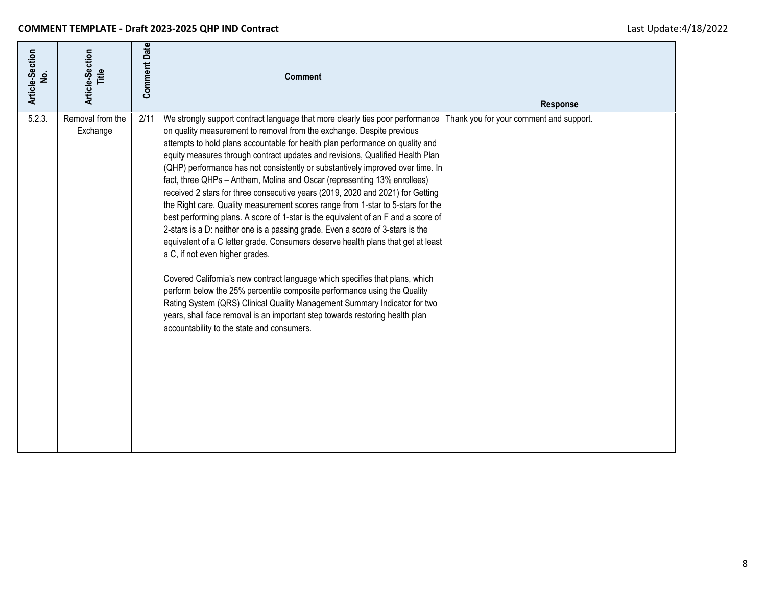| Article-Section<br>غ<br>ع | Article-Section<br>Title     | <b>Comment Date</b> | <b>Comment</b>                                                                                                                                                                                                                                                                                                                                                                                                                                                                                                                                                                                                                                                                                                                                                                                                                                                                                                                                                                                                                                                                                                                                                                                                                                                                                                                   | Response                                |
|---------------------------|------------------------------|---------------------|----------------------------------------------------------------------------------------------------------------------------------------------------------------------------------------------------------------------------------------------------------------------------------------------------------------------------------------------------------------------------------------------------------------------------------------------------------------------------------------------------------------------------------------------------------------------------------------------------------------------------------------------------------------------------------------------------------------------------------------------------------------------------------------------------------------------------------------------------------------------------------------------------------------------------------------------------------------------------------------------------------------------------------------------------------------------------------------------------------------------------------------------------------------------------------------------------------------------------------------------------------------------------------------------------------------------------------|-----------------------------------------|
| 5.2.3.                    | Removal from the<br>Exchange | 2/11                | We strongly support contract language that more clearly ties poor performance<br>on quality measurement to removal from the exchange. Despite previous<br>attempts to hold plans accountable for health plan performance on quality and<br>equity measures through contract updates and revisions, Qualified Health Plan<br>(QHP) performance has not consistently or substantively improved over time. In<br>fact, three QHPs - Anthem, Molina and Oscar (representing 13% enrollees)<br>received 2 stars for three consecutive years (2019, 2020 and 2021) for Getting<br>the Right care. Quality measurement scores range from 1-star to 5-stars for the<br>best performing plans. A score of 1-star is the equivalent of an F and a score of<br>2-stars is a D: neither one is a passing grade. Even a score of 3-stars is the<br>equivalent of a C letter grade. Consumers deserve health plans that get at least<br>a C, if not even higher grades.<br>Covered California's new contract language which specifies that plans, which<br>perform below the 25% percentile composite performance using the Quality<br>Rating System (QRS) Clinical Quality Management Summary Indicator for two<br>years, shall face removal is an important step towards restoring health plan<br>accountability to the state and consumers. | Thank you for your comment and support. |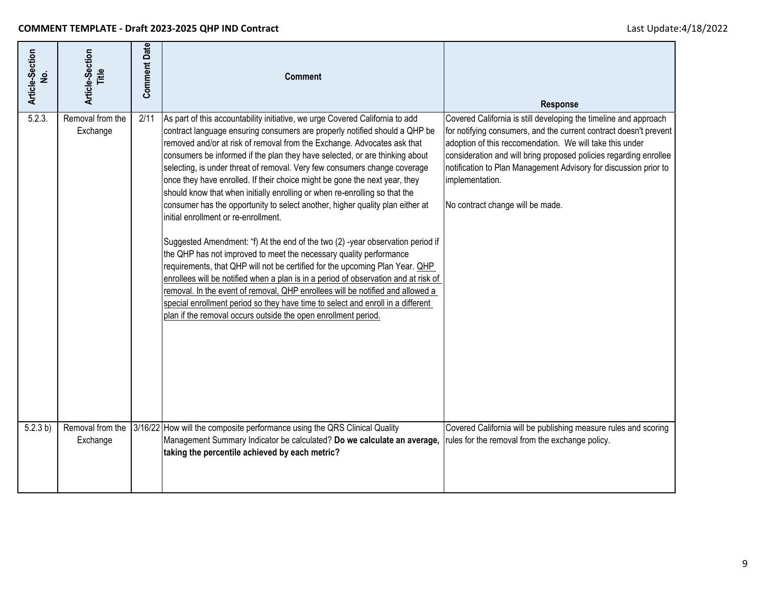| Article-Section<br>غ<br>W | Article-Section<br>Ë         | <b>Comment Date</b> | <b>Comment</b>                                                                                                                                                                                                                                                                                                                                                                                                                                                                                                                                                                                                                                                                                                                                                                                                                                                                                                                                                                                                                                                                                                                                                                                                                                               | <b>Response</b>                                                                                                                                                                                                                                                                                                                                                                                   |
|---------------------------|------------------------------|---------------------|--------------------------------------------------------------------------------------------------------------------------------------------------------------------------------------------------------------------------------------------------------------------------------------------------------------------------------------------------------------------------------------------------------------------------------------------------------------------------------------------------------------------------------------------------------------------------------------------------------------------------------------------------------------------------------------------------------------------------------------------------------------------------------------------------------------------------------------------------------------------------------------------------------------------------------------------------------------------------------------------------------------------------------------------------------------------------------------------------------------------------------------------------------------------------------------------------------------------------------------------------------------|---------------------------------------------------------------------------------------------------------------------------------------------------------------------------------------------------------------------------------------------------------------------------------------------------------------------------------------------------------------------------------------------------|
| 5.2.3.                    | Removal from the<br>Exchange | 2/11                | As part of this accountability initiative, we urge Covered California to add<br>contract language ensuring consumers are properly notified should a QHP be<br>removed and/or at risk of removal from the Exchange. Advocates ask that<br>consumers be informed if the plan they have selected, or are thinking about<br>selecting, is under threat of removal. Very few consumers change coverage<br>once they have enrolled. If their choice might be gone the next year, they<br>should know that when initially enrolling or when re-enrolling so that the<br>consumer has the opportunity to select another, higher quality plan either at<br>initial enrollment or re-enrollment.<br>Suggested Amendment: "f) At the end of the two (2) -year observation period if<br>the QHP has not improved to meet the necessary quality performance<br>requirements, that QHP will not be certified for the upcoming Plan Year. OHP<br>enrollees will be notified when a plan is in a period of observation and at risk of<br>removal. In the event of removal, QHP enrollees will be notified and allowed a<br>special enrollment period so they have time to select and enroll in a different<br>plan if the removal occurs outside the open enrollment period. | Covered California is still developing the timeline and approach<br>for notifying consumers, and the current contract doesn't prevent<br>adoption of this reccomendation. We will take this under<br>consideration and will bring proposed policies regarding enrollee<br>notification to Plan Management Advisory for discussion prior to<br>implementation.<br>No contract change will be made. |
| 5.2.3 b)                  | Removal from the<br>Exchange |                     | 3/16/22 How will the composite performance using the QRS Clinical Quality<br>Management Summary Indicator be calculated? Do we calculate an average,<br>taking the percentile achieved by each metric?                                                                                                                                                                                                                                                                                                                                                                                                                                                                                                                                                                                                                                                                                                                                                                                                                                                                                                                                                                                                                                                       | Covered California will be publishing measure rules and scoring<br>rules for the removal from the exchange policy.                                                                                                                                                                                                                                                                                |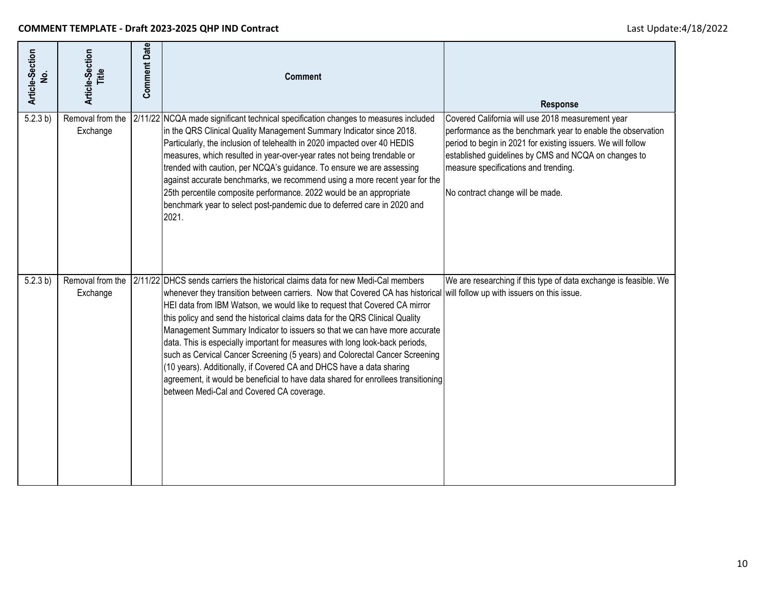| Article-Section<br>ġ | Article-Section<br>Title     | <b>Comment Date</b> | <b>Comment</b>                                                                                                                                                                                                                                                                                                                                                                                                                                                                                                                                                                                                                                                                                                                                                                                                                 | Response                                                                                                                                                                                                                                                                                                             |
|----------------------|------------------------------|---------------------|--------------------------------------------------------------------------------------------------------------------------------------------------------------------------------------------------------------------------------------------------------------------------------------------------------------------------------------------------------------------------------------------------------------------------------------------------------------------------------------------------------------------------------------------------------------------------------------------------------------------------------------------------------------------------------------------------------------------------------------------------------------------------------------------------------------------------------|----------------------------------------------------------------------------------------------------------------------------------------------------------------------------------------------------------------------------------------------------------------------------------------------------------------------|
| 5.2.3 b)             | Removal from the<br>Exchange |                     | 2/11/22 NCQA made significant technical specification changes to measures included<br>in the QRS Clinical Quality Management Summary Indicator since 2018.<br>Particularly, the inclusion of telehealth in 2020 impacted over 40 HEDIS<br>measures, which resulted in year-over-year rates not being trendable or<br>trended with caution, per NCQA's guidance. To ensure we are assessing<br>against accurate benchmarks, we recommend using a more recent year for the<br>25th percentile composite performance. 2022 would be an appropriate<br>benchmark year to select post-pandemic due to deferred care in 2020 and<br>2021.                                                                                                                                                                                            | Covered California will use 2018 measurement year<br>performance as the benchmark year to enable the observation<br>period to begin in 2021 for existing issuers. We will follow<br>established guidelines by CMS and NCQA on changes to<br>measure specifications and trending.<br>No contract change will be made. |
| 5.2.3 b)             | Removal from the<br>Exchange |                     | 2/11/22 DHCS sends carriers the historical claims data for new Medi-Cal members<br>whenever they transition between carriers. Now that Covered CA has historical will follow up with issuers on this issue.<br>HEI data from IBM Watson, we would like to request that Covered CA mirror<br>this policy and send the historical claims data for the QRS Clinical Quality<br>Management Summary Indicator to issuers so that we can have more accurate<br>data. This is especially important for measures with long look-back periods,<br>such as Cervical Cancer Screening (5 years) and Colorectal Cancer Screening<br>(10 years). Additionally, if Covered CA and DHCS have a data sharing<br>agreement, it would be beneficial to have data shared for enrollees transitioning<br>between Medi-Cal and Covered CA coverage. | We are researching if this type of data exchange is feasible. We                                                                                                                                                                                                                                                     |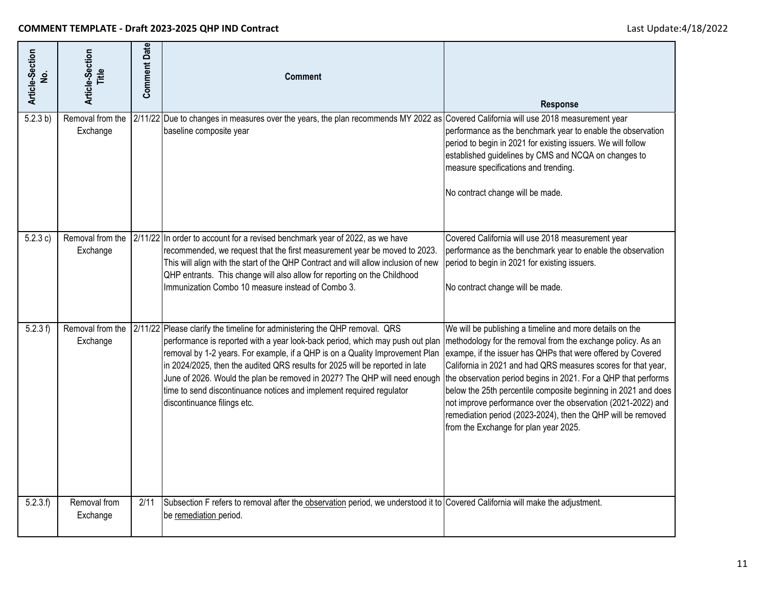| Article-Section<br>ġ | Article-Section<br>Title     | <b>Comment Date</b> | <b>Comment</b>                                                                                                                                                                                                                                                                                                                                                                                                                                                                                                  | <b>Response</b>                                                                                                                                                                                                                                                                                                                                                                                                                                                                                                                                                      |
|----------------------|------------------------------|---------------------|-----------------------------------------------------------------------------------------------------------------------------------------------------------------------------------------------------------------------------------------------------------------------------------------------------------------------------------------------------------------------------------------------------------------------------------------------------------------------------------------------------------------|----------------------------------------------------------------------------------------------------------------------------------------------------------------------------------------------------------------------------------------------------------------------------------------------------------------------------------------------------------------------------------------------------------------------------------------------------------------------------------------------------------------------------------------------------------------------|
| 5.2.3 b)             | Removal from the<br>Exchange |                     | 2/11/22 Due to changes in measures over the years, the plan recommends MY 2022 as Covered California will use 2018 measurement year<br>baseline composite year                                                                                                                                                                                                                                                                                                                                                  | performance as the benchmark year to enable the observation<br>period to begin in 2021 for existing issuers. We will follow<br>established guidelines by CMS and NCQA on changes to<br>measure specifications and trending.<br>No contract change will be made.                                                                                                                                                                                                                                                                                                      |
| 5.2.3 c)             | Removal from the<br>Exchange |                     | 2/11/22 In order to account for a revised benchmark year of 2022, as we have<br>recommended, we request that the first measurement year be moved to 2023.<br>This will align with the start of the QHP Contract and will allow inclusion of new<br>QHP entrants. This change will also allow for reporting on the Childhood<br>Immunization Combo 10 measure instead of Combo 3.                                                                                                                                | Covered California will use 2018 measurement year<br>performance as the benchmark year to enable the observation<br>period to begin in 2021 for existing issuers.<br>No contract change will be made.                                                                                                                                                                                                                                                                                                                                                                |
| 5.2.3 f              | Removal from the<br>Exchange |                     | 2/11/22 Please clarify the timeline for administering the QHP removal. QRS<br>performance is reported with a year look-back period, which may push out plan<br>removal by 1-2 years. For example, if a QHP is on a Quality Improvement Plan<br>in 2024/2025, then the audited QRS results for 2025 will be reported in late<br>June of 2026. Would the plan be removed in 2027? The QHP will need enough<br>time to send discontinuance notices and implement required regulator<br>discontinuance filings etc. | We will be publishing a timeline and more details on the<br>methodology for the removal from the exchange policy. As an<br>exampe, if the issuer has QHPs that were offered by Covered<br>California in 2021 and had QRS measures scores for that year,<br>the observation period begins in 2021. For a QHP that performs<br>below the 25th percentile composite beginning in 2021 and does<br>not improve performance over the observation (2021-2022) and<br>remediation period (2023-2024), then the QHP will be removed<br>from the Exchange for plan year 2025. |
| 5.2.3.f              | Removal from<br>Exchange     | 2/11                | Subsection F refers to removal after the observation period, we understood it to Covered California will make the adjustment.<br>be remediation period.                                                                                                                                                                                                                                                                                                                                                         |                                                                                                                                                                                                                                                                                                                                                                                                                                                                                                                                                                      |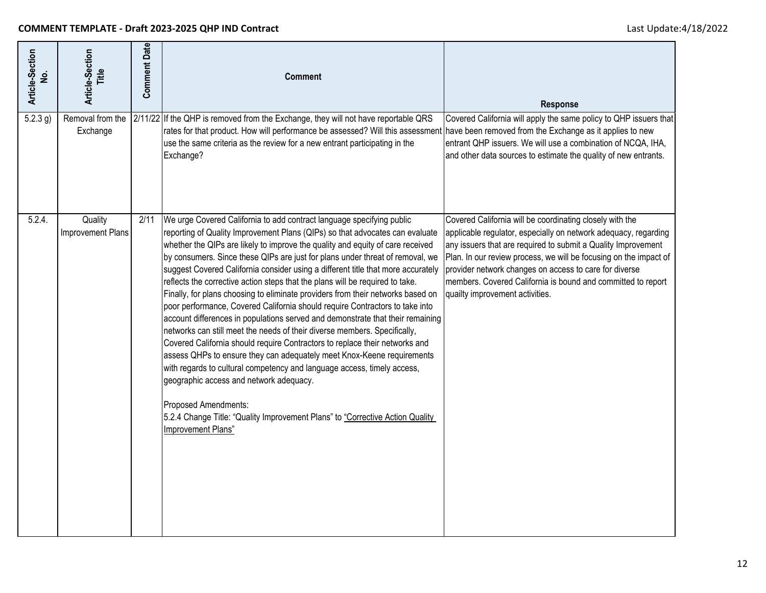| Article-Section<br>غ<br>ع | Article-Section<br>Title     | <b>Comment Date</b> | <b>Comment</b>                                                                                                                                                                                                                                                                                                                                                                                                                                                                                                                                                                                                                                                                                                                                                                                                                                                                                                                                                                                                                                                                                                                                                                                                                                | <b>Response</b>                                                                                                                                                                                                                                                                                                                                                                                                                |
|---------------------------|------------------------------|---------------------|-----------------------------------------------------------------------------------------------------------------------------------------------------------------------------------------------------------------------------------------------------------------------------------------------------------------------------------------------------------------------------------------------------------------------------------------------------------------------------------------------------------------------------------------------------------------------------------------------------------------------------------------------------------------------------------------------------------------------------------------------------------------------------------------------------------------------------------------------------------------------------------------------------------------------------------------------------------------------------------------------------------------------------------------------------------------------------------------------------------------------------------------------------------------------------------------------------------------------------------------------|--------------------------------------------------------------------------------------------------------------------------------------------------------------------------------------------------------------------------------------------------------------------------------------------------------------------------------------------------------------------------------------------------------------------------------|
| $5.2.3$ g)                | Removal from the<br>Exchange |                     | 2/11/22 If the QHP is removed from the Exchange, they will not have reportable QRS<br>rates for that product. How will performance be assessed? Will this assessment have been removed from the Exchange as it applies to new<br>use the same criteria as the review for a new entrant participating in the<br>Exchange?                                                                                                                                                                                                                                                                                                                                                                                                                                                                                                                                                                                                                                                                                                                                                                                                                                                                                                                      | Covered California will apply the same policy to QHP issuers that<br>entrant QHP issuers. We will use a combination of NCQA, IHA,<br>and other data sources to estimate the quality of new entrants.                                                                                                                                                                                                                           |
| 5.2.4.                    | Quality<br>Improvement Plans | 2/11                | We urge Covered California to add contract language specifying public<br>reporting of Quality Improvement Plans (QIPs) so that advocates can evaluate<br>whether the QIPs are likely to improve the quality and equity of care received<br>by consumers. Since these QIPs are just for plans under threat of removal, we<br>suggest Covered California consider using a different title that more accurately<br>reflects the corrective action steps that the plans will be required to take.<br>Finally, for plans choosing to eliminate providers from their networks based on<br>poor performance, Covered California should require Contractors to take into<br>account differences in populations served and demonstrate that their remaining<br>networks can still meet the needs of their diverse members. Specifically,<br>Covered California should require Contractors to replace their networks and<br>assess QHPs to ensure they can adequately meet Knox-Keene requirements<br>with regards to cultural competency and language access, timely access,<br>geographic access and network adequacy.<br>Proposed Amendments:<br>5.2.4 Change Title: "Quality Improvement Plans" to "Corrective Action Quality<br>Improvement Plans" | Covered California will be coordinating closely with the<br>applicable regulator, especially on network adequacy, regarding<br>any issuers that are required to submit a Quality Improvement<br>Plan. In our review process, we will be focusing on the impact of<br>provider network changes on access to care for diverse<br>members. Covered California is bound and committed to report<br>quailty improvement activities. |